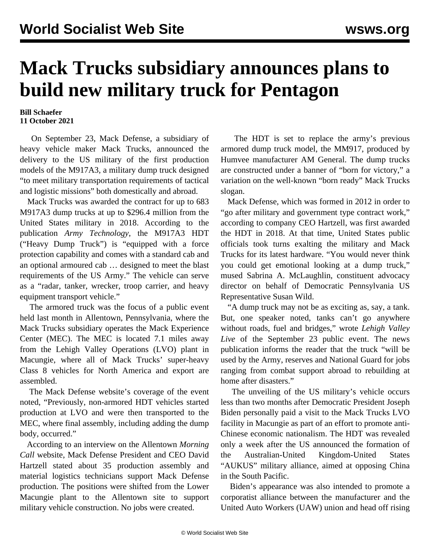## **Mack Trucks subsidiary announces plans to build new military truck for Pentagon**

## **Bill Schaefer 11 October 2021**

 On September 23, Mack Defense, a subsidiary of heavy vehicle maker Mack Trucks, announced the delivery to the US military of the first production models of the M917A3, a military dump truck designed "to meet military transportation requirements of tactical and logistic missions" both domestically and abroad.

 Mack Trucks was awarded the contract for up to 683 M917A3 dump trucks at up to \$296.4 million from the United States military in 2018. According to the publication *Army Technology*, the M917A3 HDT ("Heavy Dump Truck") is "equipped with a force protection capability and comes with a standard cab and an optional armoured cab … designed to meet the blast requirements of the US Army." The vehicle can serve as a "radar, tanker, wrecker, troop carrier, and heavy equipment transport vehicle."

 The armored truck was the focus of a public event held last month in Allentown, Pennsylvania, where the Mack Trucks subsidiary operates the Mack Experience Center (MEC). The MEC is located 7.1 miles away from the Lehigh Valley Operations (LVO) plant in Macungie, where all of Mack Trucks' super-heavy Class 8 vehicles for North America and export are assembled.

 The Mack Defense website's coverage of the event noted, "Previously, non-armored HDT vehicles started production at LVO and were then transported to the MEC, where final assembly, including adding the dump body, occurred."

 According to an interview on the Allentown *Morning Call* website, Mack Defense President and CEO David Hartzell stated about 35 production assembly and material logistics technicians support Mack Defense production. The positions were shifted from the Lower Macungie plant to the Allentown site to support military vehicle construction. No jobs were created.

 The HDT is set to replace the army's previous armored dump truck model, the MM917, produced by Humvee manufacturer AM General. The dump trucks are constructed under a banner of "born for victory," a variation on the well-known "born ready" Mack Trucks slogan.

 Mack Defense, which was formed in 2012 in order to "go after military and government type contract work," according to company CEO Hartzell, was first awarded the HDT in 2018. At that time, United States public officials took turns exalting the military and Mack Trucks for its latest hardware. "You would never think you could get emotional looking at a dump truck," mused Sabrina A. McLaughlin, constituent advocacy director on behalf of Democratic Pennsylvania US Representative Susan Wild.

 "A dump truck may not be as exciting as, say, a tank. But, one speaker noted, tanks can't go anywhere without roads, fuel and bridges," wrote *Lehigh Valley Live* of the September 23 public event. The news publication informs the reader that the truck "will be used by the Army, reserves and National Guard for jobs ranging from combat support abroad to rebuilding at home after disasters."

 The unveiling of the US military's vehicle occurs less than two months after Democratic President Joseph Biden personally paid a visit to the Mack Trucks LVO facility in Macungie as part of an effort to promote anti-Chinese [economic nationalism](/en/articles/2021/07/29/mack-j29.html). The HDT was revealed only a week after the US [announced](/en/articles/2021/09/18/pers-s18.html) the formation of the Australian-United Kingdom-United States "AUKUS" military alliance, aimed at opposing China in the South Pacific.

 Biden's appearance was also intended to promote a corporatist alliance between the manufacturer and the United Auto Workers (UAW) union and head off [rising](/en/articles/2021/06/08/pers-j08.html)